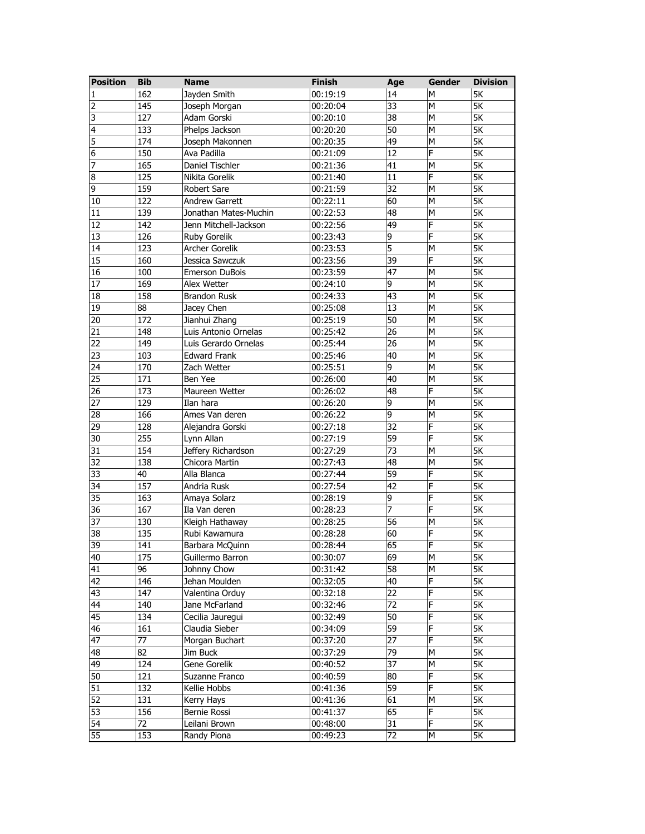| 162<br>00:19:19<br>14<br>5K<br>Jayden Smith<br>M<br>1<br>$\overline{33}$<br>$\overline{\mathsf{5K}}$<br>145<br>M<br>2<br>00:20:04<br>Joseph Morgan<br>38<br>5K<br>3<br>127<br>M<br>Adam Gorski<br>00:20:10<br>50<br>M<br><b>5K</b><br>4<br>133<br>Phelps Jackson<br>00:20:20<br>$\overline{\mathsf{5K}}$<br>5<br>49<br>174<br>Joseph Makonnen<br>00:20:35<br>M<br>$\overline{\mathsf{5K}}$<br>6<br>150<br>12<br>F<br>Ava Padilla<br>00:21:09<br>$\overline{\mathsf{SK}}$<br>7<br>165<br>41<br>Daniel Tischler<br>00:21:36<br>M<br>8<br>F<br>125<br>Nikita Gorelik<br>00:21:40<br>11<br>5K<br>9<br>32<br>5K<br>M<br>159<br><b>Robert Sare</b><br>00:21:59<br>122<br>60<br><b>5K</b><br><b>Andrew Garrett</b><br>00:22:11<br>M<br>10<br>00:22:53<br>48<br>5K<br>11<br>139<br>Jonathan Mates-Muchin<br>M<br>F<br>12<br>49<br><b>5K</b><br>142<br>00:22:56<br>Jenn Mitchell-Jackson<br>9<br>F<br>5K<br>13<br>126<br>Ruby Gorelik<br>00:23:43<br>123<br>5<br>5K<br>14<br>Archer Gorelik<br>00:23:53<br>M<br>39<br>00:23:56<br>F<br>5K<br>15<br>160<br>Jessica Sawczuk<br>47<br>5K<br>16<br>M<br>100<br>00:23:59<br><b>Emerson DuBois</b><br>169<br>9<br>M<br><b>5K</b><br>17<br>00:24:10<br>Alex Wetter<br>43<br>M<br><b>5K</b><br>18<br>158<br><b>Brandon Rusk</b><br>00:24:33<br>$\overline{13}$<br>$\overline{\mathsf{5K}}$<br>19<br>$\overline{88}$<br>00:25:08<br>M<br>Jacey Chen<br>$\overline{50}$<br>172<br>M<br><b>5K</b><br>20<br>Jianhui Zhang<br>00:25:19<br>$\overline{26}$<br>21<br>M<br><b>5K</b><br>148<br>Luis Antonio Ornelas<br>00:25:42<br>$\overline{26}$<br>22<br><b>5K</b><br>149<br>Luis Gerardo Ornelas<br>00:25:44<br>M<br>$\overline{\mathsf{SK}}$<br>23<br>40<br>103<br><b>Edward Frank</b><br>00:25:46<br>M<br>5K<br>24<br>170<br>00:25:51<br>9<br>M<br>Zach Wetter<br>25<br>40<br>5K<br>171<br>00:26:00<br>M<br>Ben Yee<br>F<br>26<br>48<br>5K<br>173<br>00:26:02<br>Maureen Wetter<br>9<br>5K<br>27<br>129<br>00:26:20<br>M<br>Ilan hara<br>$\overline{9}$<br>5K<br>28<br>166<br>Ames Van deren<br>00:26:22<br>M<br>F<br>29<br>32<br><b>5K</b><br>128<br>Alejandra Gorski<br>00:27:18<br>255<br>59<br>F<br>5K<br>30<br>Lynn Allan<br>00:27:19<br>$\overline{\mathsf{SK}}$<br>31<br>154<br>Jeffery Richardson<br>00:27:29<br>73<br>M<br>$\overline{\mathsf{SK}}$<br>32<br>48<br>138<br>Chicora Martin<br>00:27:43<br>M<br>59<br>F<br>33<br>40<br>00:27:44<br>5K<br>Alla Blanca<br>42<br>F<br>34<br>157<br>5K<br>Andria Rusk<br>00:27:54<br>35<br>9<br>F<br>5K<br>163<br>Amaya Solarz<br>00:28:19<br>7<br>F<br>$\overline{\mathsf{SK}}$<br>36<br>167<br>00:28:23<br>Ila Van deren<br>37<br>56<br>M<br>5K<br>130<br>00:28:25<br>Kleigh Hathaway<br>38<br>60<br>F<br>5K<br>135<br>Rubi Kawamura<br>00:28:28<br>39<br>65<br>F<br>5K<br>141<br>00:28:44<br>Barbara McQuinn<br>40<br>00:30:07<br>69<br>М<br>5K<br>175<br>Guillermo Barron<br>96<br>58<br>5K<br>41<br>Johnny Chow<br>00:31:42<br>М<br>40<br>F<br>42<br>146<br>Jehan Moulden<br>5К<br>00:32:05<br>43<br>22<br>F<br>5K<br>147<br>Valentina Orduy<br>00:32:18<br>$\overline{44}$<br>$\overline{72}$<br>F<br>5K<br>140<br>Jane McFarland<br>00:32:46<br>45<br>50<br>F<br>5K<br>134<br>Cecilia Jauregui<br>00:32:49<br>59<br>46<br>161<br>Claudia Sieber<br>F<br>5K<br>00:34:09<br>27<br>F<br>5K<br>47<br>77<br>Morgan Buchart<br>00:37:20<br>48<br>79<br>5К<br>82<br>Jim Buck<br>00:37:29<br>М<br>Gene Gorelik<br>37<br>49<br>124<br>00:40:52<br>М<br>5К<br>F<br>50<br>Suzanne Franco<br>00:40:59<br>80<br>5К<br>121<br>59<br>F<br>51<br>5K<br>132<br>Kellie Hobbs<br>00:41:36<br>61<br>52<br>М<br>5K<br>131<br>Kerry Hays<br>00:41:36<br>53<br>65<br>F<br>156<br>5К<br>Bernie Rossi<br>00:41:37<br>54<br>F<br>5К<br>72<br>31<br>Leilani Brown<br>00:48:00 | <b>Position</b> | <b>Bib</b> | <b>Name</b> | <b>Finish</b> | Age | Gender | <b>Division</b> |
|------------------------------------------------------------------------------------------------------------------------------------------------------------------------------------------------------------------------------------------------------------------------------------------------------------------------------------------------------------------------------------------------------------------------------------------------------------------------------------------------------------------------------------------------------------------------------------------------------------------------------------------------------------------------------------------------------------------------------------------------------------------------------------------------------------------------------------------------------------------------------------------------------------------------------------------------------------------------------------------------------------------------------------------------------------------------------------------------------------------------------------------------------------------------------------------------------------------------------------------------------------------------------------------------------------------------------------------------------------------------------------------------------------------------------------------------------------------------------------------------------------------------------------------------------------------------------------------------------------------------------------------------------------------------------------------------------------------------------------------------------------------------------------------------------------------------------------------------------------------------------------------------------------------------------------------------------------------------------------------------------------------------------------------------------------------------------------------------------------------------------------------------------------------------------------------------------------------------------------------------------------------------------------------------------------------------------------------------------------------------------------------------------------------------------------------------------------------------------------------------------------------------------------------------------------------------------------------------------------------------------------------------------------------------------------------------------------------------------------------------------------------------------------------------------------------------------------------------------------------------------------------------------------------------------------------------------------------------------------------------------------------------------------------------------------------------------------------------------------------------------------------------------------------------------------------------------------------------------------------------------------------------------------------------------------------------------------------------------------------------------------------------------------------------------------------------------------------------------------------------------------------------------------------------------------------------------------------------------------------------------------------------------------------------------------------------------------------------------------------|-----------------|------------|-------------|---------------|-----|--------|-----------------|
|                                                                                                                                                                                                                                                                                                                                                                                                                                                                                                                                                                                                                                                                                                                                                                                                                                                                                                                                                                                                                                                                                                                                                                                                                                                                                                                                                                                                                                                                                                                                                                                                                                                                                                                                                                                                                                                                                                                                                                                                                                                                                                                                                                                                                                                                                                                                                                                                                                                                                                                                                                                                                                                                                                                                                                                                                                                                                                                                                                                                                                                                                                                                                                                                                                                                                                                                                                                                                                                                                                                                                                                                                                                                                                                                          |                 |            |             |               |     |        |                 |
|                                                                                                                                                                                                                                                                                                                                                                                                                                                                                                                                                                                                                                                                                                                                                                                                                                                                                                                                                                                                                                                                                                                                                                                                                                                                                                                                                                                                                                                                                                                                                                                                                                                                                                                                                                                                                                                                                                                                                                                                                                                                                                                                                                                                                                                                                                                                                                                                                                                                                                                                                                                                                                                                                                                                                                                                                                                                                                                                                                                                                                                                                                                                                                                                                                                                                                                                                                                                                                                                                                                                                                                                                                                                                                                                          |                 |            |             |               |     |        |                 |
|                                                                                                                                                                                                                                                                                                                                                                                                                                                                                                                                                                                                                                                                                                                                                                                                                                                                                                                                                                                                                                                                                                                                                                                                                                                                                                                                                                                                                                                                                                                                                                                                                                                                                                                                                                                                                                                                                                                                                                                                                                                                                                                                                                                                                                                                                                                                                                                                                                                                                                                                                                                                                                                                                                                                                                                                                                                                                                                                                                                                                                                                                                                                                                                                                                                                                                                                                                                                                                                                                                                                                                                                                                                                                                                                          |                 |            |             |               |     |        |                 |
|                                                                                                                                                                                                                                                                                                                                                                                                                                                                                                                                                                                                                                                                                                                                                                                                                                                                                                                                                                                                                                                                                                                                                                                                                                                                                                                                                                                                                                                                                                                                                                                                                                                                                                                                                                                                                                                                                                                                                                                                                                                                                                                                                                                                                                                                                                                                                                                                                                                                                                                                                                                                                                                                                                                                                                                                                                                                                                                                                                                                                                                                                                                                                                                                                                                                                                                                                                                                                                                                                                                                                                                                                                                                                                                                          |                 |            |             |               |     |        |                 |
|                                                                                                                                                                                                                                                                                                                                                                                                                                                                                                                                                                                                                                                                                                                                                                                                                                                                                                                                                                                                                                                                                                                                                                                                                                                                                                                                                                                                                                                                                                                                                                                                                                                                                                                                                                                                                                                                                                                                                                                                                                                                                                                                                                                                                                                                                                                                                                                                                                                                                                                                                                                                                                                                                                                                                                                                                                                                                                                                                                                                                                                                                                                                                                                                                                                                                                                                                                                                                                                                                                                                                                                                                                                                                                                                          |                 |            |             |               |     |        |                 |
|                                                                                                                                                                                                                                                                                                                                                                                                                                                                                                                                                                                                                                                                                                                                                                                                                                                                                                                                                                                                                                                                                                                                                                                                                                                                                                                                                                                                                                                                                                                                                                                                                                                                                                                                                                                                                                                                                                                                                                                                                                                                                                                                                                                                                                                                                                                                                                                                                                                                                                                                                                                                                                                                                                                                                                                                                                                                                                                                                                                                                                                                                                                                                                                                                                                                                                                                                                                                                                                                                                                                                                                                                                                                                                                                          |                 |            |             |               |     |        |                 |
|                                                                                                                                                                                                                                                                                                                                                                                                                                                                                                                                                                                                                                                                                                                                                                                                                                                                                                                                                                                                                                                                                                                                                                                                                                                                                                                                                                                                                                                                                                                                                                                                                                                                                                                                                                                                                                                                                                                                                                                                                                                                                                                                                                                                                                                                                                                                                                                                                                                                                                                                                                                                                                                                                                                                                                                                                                                                                                                                                                                                                                                                                                                                                                                                                                                                                                                                                                                                                                                                                                                                                                                                                                                                                                                                          |                 |            |             |               |     |        |                 |
|                                                                                                                                                                                                                                                                                                                                                                                                                                                                                                                                                                                                                                                                                                                                                                                                                                                                                                                                                                                                                                                                                                                                                                                                                                                                                                                                                                                                                                                                                                                                                                                                                                                                                                                                                                                                                                                                                                                                                                                                                                                                                                                                                                                                                                                                                                                                                                                                                                                                                                                                                                                                                                                                                                                                                                                                                                                                                                                                                                                                                                                                                                                                                                                                                                                                                                                                                                                                                                                                                                                                                                                                                                                                                                                                          |                 |            |             |               |     |        |                 |
|                                                                                                                                                                                                                                                                                                                                                                                                                                                                                                                                                                                                                                                                                                                                                                                                                                                                                                                                                                                                                                                                                                                                                                                                                                                                                                                                                                                                                                                                                                                                                                                                                                                                                                                                                                                                                                                                                                                                                                                                                                                                                                                                                                                                                                                                                                                                                                                                                                                                                                                                                                                                                                                                                                                                                                                                                                                                                                                                                                                                                                                                                                                                                                                                                                                                                                                                                                                                                                                                                                                                                                                                                                                                                                                                          |                 |            |             |               |     |        |                 |
|                                                                                                                                                                                                                                                                                                                                                                                                                                                                                                                                                                                                                                                                                                                                                                                                                                                                                                                                                                                                                                                                                                                                                                                                                                                                                                                                                                                                                                                                                                                                                                                                                                                                                                                                                                                                                                                                                                                                                                                                                                                                                                                                                                                                                                                                                                                                                                                                                                                                                                                                                                                                                                                                                                                                                                                                                                                                                                                                                                                                                                                                                                                                                                                                                                                                                                                                                                                                                                                                                                                                                                                                                                                                                                                                          |                 |            |             |               |     |        |                 |
|                                                                                                                                                                                                                                                                                                                                                                                                                                                                                                                                                                                                                                                                                                                                                                                                                                                                                                                                                                                                                                                                                                                                                                                                                                                                                                                                                                                                                                                                                                                                                                                                                                                                                                                                                                                                                                                                                                                                                                                                                                                                                                                                                                                                                                                                                                                                                                                                                                                                                                                                                                                                                                                                                                                                                                                                                                                                                                                                                                                                                                                                                                                                                                                                                                                                                                                                                                                                                                                                                                                                                                                                                                                                                                                                          |                 |            |             |               |     |        |                 |
|                                                                                                                                                                                                                                                                                                                                                                                                                                                                                                                                                                                                                                                                                                                                                                                                                                                                                                                                                                                                                                                                                                                                                                                                                                                                                                                                                                                                                                                                                                                                                                                                                                                                                                                                                                                                                                                                                                                                                                                                                                                                                                                                                                                                                                                                                                                                                                                                                                                                                                                                                                                                                                                                                                                                                                                                                                                                                                                                                                                                                                                                                                                                                                                                                                                                                                                                                                                                                                                                                                                                                                                                                                                                                                                                          |                 |            |             |               |     |        |                 |
|                                                                                                                                                                                                                                                                                                                                                                                                                                                                                                                                                                                                                                                                                                                                                                                                                                                                                                                                                                                                                                                                                                                                                                                                                                                                                                                                                                                                                                                                                                                                                                                                                                                                                                                                                                                                                                                                                                                                                                                                                                                                                                                                                                                                                                                                                                                                                                                                                                                                                                                                                                                                                                                                                                                                                                                                                                                                                                                                                                                                                                                                                                                                                                                                                                                                                                                                                                                                                                                                                                                                                                                                                                                                                                                                          |                 |            |             |               |     |        |                 |
|                                                                                                                                                                                                                                                                                                                                                                                                                                                                                                                                                                                                                                                                                                                                                                                                                                                                                                                                                                                                                                                                                                                                                                                                                                                                                                                                                                                                                                                                                                                                                                                                                                                                                                                                                                                                                                                                                                                                                                                                                                                                                                                                                                                                                                                                                                                                                                                                                                                                                                                                                                                                                                                                                                                                                                                                                                                                                                                                                                                                                                                                                                                                                                                                                                                                                                                                                                                                                                                                                                                                                                                                                                                                                                                                          |                 |            |             |               |     |        |                 |
|                                                                                                                                                                                                                                                                                                                                                                                                                                                                                                                                                                                                                                                                                                                                                                                                                                                                                                                                                                                                                                                                                                                                                                                                                                                                                                                                                                                                                                                                                                                                                                                                                                                                                                                                                                                                                                                                                                                                                                                                                                                                                                                                                                                                                                                                                                                                                                                                                                                                                                                                                                                                                                                                                                                                                                                                                                                                                                                                                                                                                                                                                                                                                                                                                                                                                                                                                                                                                                                                                                                                                                                                                                                                                                                                          |                 |            |             |               |     |        |                 |
|                                                                                                                                                                                                                                                                                                                                                                                                                                                                                                                                                                                                                                                                                                                                                                                                                                                                                                                                                                                                                                                                                                                                                                                                                                                                                                                                                                                                                                                                                                                                                                                                                                                                                                                                                                                                                                                                                                                                                                                                                                                                                                                                                                                                                                                                                                                                                                                                                                                                                                                                                                                                                                                                                                                                                                                                                                                                                                                                                                                                                                                                                                                                                                                                                                                                                                                                                                                                                                                                                                                                                                                                                                                                                                                                          |                 |            |             |               |     |        |                 |
|                                                                                                                                                                                                                                                                                                                                                                                                                                                                                                                                                                                                                                                                                                                                                                                                                                                                                                                                                                                                                                                                                                                                                                                                                                                                                                                                                                                                                                                                                                                                                                                                                                                                                                                                                                                                                                                                                                                                                                                                                                                                                                                                                                                                                                                                                                                                                                                                                                                                                                                                                                                                                                                                                                                                                                                                                                                                                                                                                                                                                                                                                                                                                                                                                                                                                                                                                                                                                                                                                                                                                                                                                                                                                                                                          |                 |            |             |               |     |        |                 |
|                                                                                                                                                                                                                                                                                                                                                                                                                                                                                                                                                                                                                                                                                                                                                                                                                                                                                                                                                                                                                                                                                                                                                                                                                                                                                                                                                                                                                                                                                                                                                                                                                                                                                                                                                                                                                                                                                                                                                                                                                                                                                                                                                                                                                                                                                                                                                                                                                                                                                                                                                                                                                                                                                                                                                                                                                                                                                                                                                                                                                                                                                                                                                                                                                                                                                                                                                                                                                                                                                                                                                                                                                                                                                                                                          |                 |            |             |               |     |        |                 |
|                                                                                                                                                                                                                                                                                                                                                                                                                                                                                                                                                                                                                                                                                                                                                                                                                                                                                                                                                                                                                                                                                                                                                                                                                                                                                                                                                                                                                                                                                                                                                                                                                                                                                                                                                                                                                                                                                                                                                                                                                                                                                                                                                                                                                                                                                                                                                                                                                                                                                                                                                                                                                                                                                                                                                                                                                                                                                                                                                                                                                                                                                                                                                                                                                                                                                                                                                                                                                                                                                                                                                                                                                                                                                                                                          |                 |            |             |               |     |        |                 |
|                                                                                                                                                                                                                                                                                                                                                                                                                                                                                                                                                                                                                                                                                                                                                                                                                                                                                                                                                                                                                                                                                                                                                                                                                                                                                                                                                                                                                                                                                                                                                                                                                                                                                                                                                                                                                                                                                                                                                                                                                                                                                                                                                                                                                                                                                                                                                                                                                                                                                                                                                                                                                                                                                                                                                                                                                                                                                                                                                                                                                                                                                                                                                                                                                                                                                                                                                                                                                                                                                                                                                                                                                                                                                                                                          |                 |            |             |               |     |        |                 |
|                                                                                                                                                                                                                                                                                                                                                                                                                                                                                                                                                                                                                                                                                                                                                                                                                                                                                                                                                                                                                                                                                                                                                                                                                                                                                                                                                                                                                                                                                                                                                                                                                                                                                                                                                                                                                                                                                                                                                                                                                                                                                                                                                                                                                                                                                                                                                                                                                                                                                                                                                                                                                                                                                                                                                                                                                                                                                                                                                                                                                                                                                                                                                                                                                                                                                                                                                                                                                                                                                                                                                                                                                                                                                                                                          |                 |            |             |               |     |        |                 |
|                                                                                                                                                                                                                                                                                                                                                                                                                                                                                                                                                                                                                                                                                                                                                                                                                                                                                                                                                                                                                                                                                                                                                                                                                                                                                                                                                                                                                                                                                                                                                                                                                                                                                                                                                                                                                                                                                                                                                                                                                                                                                                                                                                                                                                                                                                                                                                                                                                                                                                                                                                                                                                                                                                                                                                                                                                                                                                                                                                                                                                                                                                                                                                                                                                                                                                                                                                                                                                                                                                                                                                                                                                                                                                                                          |                 |            |             |               |     |        |                 |
|                                                                                                                                                                                                                                                                                                                                                                                                                                                                                                                                                                                                                                                                                                                                                                                                                                                                                                                                                                                                                                                                                                                                                                                                                                                                                                                                                                                                                                                                                                                                                                                                                                                                                                                                                                                                                                                                                                                                                                                                                                                                                                                                                                                                                                                                                                                                                                                                                                                                                                                                                                                                                                                                                                                                                                                                                                                                                                                                                                                                                                                                                                                                                                                                                                                                                                                                                                                                                                                                                                                                                                                                                                                                                                                                          |                 |            |             |               |     |        |                 |
|                                                                                                                                                                                                                                                                                                                                                                                                                                                                                                                                                                                                                                                                                                                                                                                                                                                                                                                                                                                                                                                                                                                                                                                                                                                                                                                                                                                                                                                                                                                                                                                                                                                                                                                                                                                                                                                                                                                                                                                                                                                                                                                                                                                                                                                                                                                                                                                                                                                                                                                                                                                                                                                                                                                                                                                                                                                                                                                                                                                                                                                                                                                                                                                                                                                                                                                                                                                                                                                                                                                                                                                                                                                                                                                                          |                 |            |             |               |     |        |                 |
|                                                                                                                                                                                                                                                                                                                                                                                                                                                                                                                                                                                                                                                                                                                                                                                                                                                                                                                                                                                                                                                                                                                                                                                                                                                                                                                                                                                                                                                                                                                                                                                                                                                                                                                                                                                                                                                                                                                                                                                                                                                                                                                                                                                                                                                                                                                                                                                                                                                                                                                                                                                                                                                                                                                                                                                                                                                                                                                                                                                                                                                                                                                                                                                                                                                                                                                                                                                                                                                                                                                                                                                                                                                                                                                                          |                 |            |             |               |     |        |                 |
|                                                                                                                                                                                                                                                                                                                                                                                                                                                                                                                                                                                                                                                                                                                                                                                                                                                                                                                                                                                                                                                                                                                                                                                                                                                                                                                                                                                                                                                                                                                                                                                                                                                                                                                                                                                                                                                                                                                                                                                                                                                                                                                                                                                                                                                                                                                                                                                                                                                                                                                                                                                                                                                                                                                                                                                                                                                                                                                                                                                                                                                                                                                                                                                                                                                                                                                                                                                                                                                                                                                                                                                                                                                                                                                                          |                 |            |             |               |     |        |                 |
|                                                                                                                                                                                                                                                                                                                                                                                                                                                                                                                                                                                                                                                                                                                                                                                                                                                                                                                                                                                                                                                                                                                                                                                                                                                                                                                                                                                                                                                                                                                                                                                                                                                                                                                                                                                                                                                                                                                                                                                                                                                                                                                                                                                                                                                                                                                                                                                                                                                                                                                                                                                                                                                                                                                                                                                                                                                                                                                                                                                                                                                                                                                                                                                                                                                                                                                                                                                                                                                                                                                                                                                                                                                                                                                                          |                 |            |             |               |     |        |                 |
|                                                                                                                                                                                                                                                                                                                                                                                                                                                                                                                                                                                                                                                                                                                                                                                                                                                                                                                                                                                                                                                                                                                                                                                                                                                                                                                                                                                                                                                                                                                                                                                                                                                                                                                                                                                                                                                                                                                                                                                                                                                                                                                                                                                                                                                                                                                                                                                                                                                                                                                                                                                                                                                                                                                                                                                                                                                                                                                                                                                                                                                                                                                                                                                                                                                                                                                                                                                                                                                                                                                                                                                                                                                                                                                                          |                 |            |             |               |     |        |                 |
|                                                                                                                                                                                                                                                                                                                                                                                                                                                                                                                                                                                                                                                                                                                                                                                                                                                                                                                                                                                                                                                                                                                                                                                                                                                                                                                                                                                                                                                                                                                                                                                                                                                                                                                                                                                                                                                                                                                                                                                                                                                                                                                                                                                                                                                                                                                                                                                                                                                                                                                                                                                                                                                                                                                                                                                                                                                                                                                                                                                                                                                                                                                                                                                                                                                                                                                                                                                                                                                                                                                                                                                                                                                                                                                                          |                 |            |             |               |     |        |                 |
|                                                                                                                                                                                                                                                                                                                                                                                                                                                                                                                                                                                                                                                                                                                                                                                                                                                                                                                                                                                                                                                                                                                                                                                                                                                                                                                                                                                                                                                                                                                                                                                                                                                                                                                                                                                                                                                                                                                                                                                                                                                                                                                                                                                                                                                                                                                                                                                                                                                                                                                                                                                                                                                                                                                                                                                                                                                                                                                                                                                                                                                                                                                                                                                                                                                                                                                                                                                                                                                                                                                                                                                                                                                                                                                                          |                 |            |             |               |     |        |                 |
|                                                                                                                                                                                                                                                                                                                                                                                                                                                                                                                                                                                                                                                                                                                                                                                                                                                                                                                                                                                                                                                                                                                                                                                                                                                                                                                                                                                                                                                                                                                                                                                                                                                                                                                                                                                                                                                                                                                                                                                                                                                                                                                                                                                                                                                                                                                                                                                                                                                                                                                                                                                                                                                                                                                                                                                                                                                                                                                                                                                                                                                                                                                                                                                                                                                                                                                                                                                                                                                                                                                                                                                                                                                                                                                                          |                 |            |             |               |     |        |                 |
|                                                                                                                                                                                                                                                                                                                                                                                                                                                                                                                                                                                                                                                                                                                                                                                                                                                                                                                                                                                                                                                                                                                                                                                                                                                                                                                                                                                                                                                                                                                                                                                                                                                                                                                                                                                                                                                                                                                                                                                                                                                                                                                                                                                                                                                                                                                                                                                                                                                                                                                                                                                                                                                                                                                                                                                                                                                                                                                                                                                                                                                                                                                                                                                                                                                                                                                                                                                                                                                                                                                                                                                                                                                                                                                                          |                 |            |             |               |     |        |                 |
|                                                                                                                                                                                                                                                                                                                                                                                                                                                                                                                                                                                                                                                                                                                                                                                                                                                                                                                                                                                                                                                                                                                                                                                                                                                                                                                                                                                                                                                                                                                                                                                                                                                                                                                                                                                                                                                                                                                                                                                                                                                                                                                                                                                                                                                                                                                                                                                                                                                                                                                                                                                                                                                                                                                                                                                                                                                                                                                                                                                                                                                                                                                                                                                                                                                                                                                                                                                                                                                                                                                                                                                                                                                                                                                                          |                 |            |             |               |     |        |                 |
|                                                                                                                                                                                                                                                                                                                                                                                                                                                                                                                                                                                                                                                                                                                                                                                                                                                                                                                                                                                                                                                                                                                                                                                                                                                                                                                                                                                                                                                                                                                                                                                                                                                                                                                                                                                                                                                                                                                                                                                                                                                                                                                                                                                                                                                                                                                                                                                                                                                                                                                                                                                                                                                                                                                                                                                                                                                                                                                                                                                                                                                                                                                                                                                                                                                                                                                                                                                                                                                                                                                                                                                                                                                                                                                                          |                 |            |             |               |     |        |                 |
|                                                                                                                                                                                                                                                                                                                                                                                                                                                                                                                                                                                                                                                                                                                                                                                                                                                                                                                                                                                                                                                                                                                                                                                                                                                                                                                                                                                                                                                                                                                                                                                                                                                                                                                                                                                                                                                                                                                                                                                                                                                                                                                                                                                                                                                                                                                                                                                                                                                                                                                                                                                                                                                                                                                                                                                                                                                                                                                                                                                                                                                                                                                                                                                                                                                                                                                                                                                                                                                                                                                                                                                                                                                                                                                                          |                 |            |             |               |     |        |                 |
|                                                                                                                                                                                                                                                                                                                                                                                                                                                                                                                                                                                                                                                                                                                                                                                                                                                                                                                                                                                                                                                                                                                                                                                                                                                                                                                                                                                                                                                                                                                                                                                                                                                                                                                                                                                                                                                                                                                                                                                                                                                                                                                                                                                                                                                                                                                                                                                                                                                                                                                                                                                                                                                                                                                                                                                                                                                                                                                                                                                                                                                                                                                                                                                                                                                                                                                                                                                                                                                                                                                                                                                                                                                                                                                                          |                 |            |             |               |     |        |                 |
|                                                                                                                                                                                                                                                                                                                                                                                                                                                                                                                                                                                                                                                                                                                                                                                                                                                                                                                                                                                                                                                                                                                                                                                                                                                                                                                                                                                                                                                                                                                                                                                                                                                                                                                                                                                                                                                                                                                                                                                                                                                                                                                                                                                                                                                                                                                                                                                                                                                                                                                                                                                                                                                                                                                                                                                                                                                                                                                                                                                                                                                                                                                                                                                                                                                                                                                                                                                                                                                                                                                                                                                                                                                                                                                                          |                 |            |             |               |     |        |                 |
|                                                                                                                                                                                                                                                                                                                                                                                                                                                                                                                                                                                                                                                                                                                                                                                                                                                                                                                                                                                                                                                                                                                                                                                                                                                                                                                                                                                                                                                                                                                                                                                                                                                                                                                                                                                                                                                                                                                                                                                                                                                                                                                                                                                                                                                                                                                                                                                                                                                                                                                                                                                                                                                                                                                                                                                                                                                                                                                                                                                                                                                                                                                                                                                                                                                                                                                                                                                                                                                                                                                                                                                                                                                                                                                                          |                 |            |             |               |     |        |                 |
|                                                                                                                                                                                                                                                                                                                                                                                                                                                                                                                                                                                                                                                                                                                                                                                                                                                                                                                                                                                                                                                                                                                                                                                                                                                                                                                                                                                                                                                                                                                                                                                                                                                                                                                                                                                                                                                                                                                                                                                                                                                                                                                                                                                                                                                                                                                                                                                                                                                                                                                                                                                                                                                                                                                                                                                                                                                                                                                                                                                                                                                                                                                                                                                                                                                                                                                                                                                                                                                                                                                                                                                                                                                                                                                                          |                 |            |             |               |     |        |                 |
|                                                                                                                                                                                                                                                                                                                                                                                                                                                                                                                                                                                                                                                                                                                                                                                                                                                                                                                                                                                                                                                                                                                                                                                                                                                                                                                                                                                                                                                                                                                                                                                                                                                                                                                                                                                                                                                                                                                                                                                                                                                                                                                                                                                                                                                                                                                                                                                                                                                                                                                                                                                                                                                                                                                                                                                                                                                                                                                                                                                                                                                                                                                                                                                                                                                                                                                                                                                                                                                                                                                                                                                                                                                                                                                                          |                 |            |             |               |     |        |                 |
|                                                                                                                                                                                                                                                                                                                                                                                                                                                                                                                                                                                                                                                                                                                                                                                                                                                                                                                                                                                                                                                                                                                                                                                                                                                                                                                                                                                                                                                                                                                                                                                                                                                                                                                                                                                                                                                                                                                                                                                                                                                                                                                                                                                                                                                                                                                                                                                                                                                                                                                                                                                                                                                                                                                                                                                                                                                                                                                                                                                                                                                                                                                                                                                                                                                                                                                                                                                                                                                                                                                                                                                                                                                                                                                                          |                 |            |             |               |     |        |                 |
|                                                                                                                                                                                                                                                                                                                                                                                                                                                                                                                                                                                                                                                                                                                                                                                                                                                                                                                                                                                                                                                                                                                                                                                                                                                                                                                                                                                                                                                                                                                                                                                                                                                                                                                                                                                                                                                                                                                                                                                                                                                                                                                                                                                                                                                                                                                                                                                                                                                                                                                                                                                                                                                                                                                                                                                                                                                                                                                                                                                                                                                                                                                                                                                                                                                                                                                                                                                                                                                                                                                                                                                                                                                                                                                                          |                 |            |             |               |     |        |                 |
|                                                                                                                                                                                                                                                                                                                                                                                                                                                                                                                                                                                                                                                                                                                                                                                                                                                                                                                                                                                                                                                                                                                                                                                                                                                                                                                                                                                                                                                                                                                                                                                                                                                                                                                                                                                                                                                                                                                                                                                                                                                                                                                                                                                                                                                                                                                                                                                                                                                                                                                                                                                                                                                                                                                                                                                                                                                                                                                                                                                                                                                                                                                                                                                                                                                                                                                                                                                                                                                                                                                                                                                                                                                                                                                                          |                 |            |             |               |     |        |                 |
|                                                                                                                                                                                                                                                                                                                                                                                                                                                                                                                                                                                                                                                                                                                                                                                                                                                                                                                                                                                                                                                                                                                                                                                                                                                                                                                                                                                                                                                                                                                                                                                                                                                                                                                                                                                                                                                                                                                                                                                                                                                                                                                                                                                                                                                                                                                                                                                                                                                                                                                                                                                                                                                                                                                                                                                                                                                                                                                                                                                                                                                                                                                                                                                                                                                                                                                                                                                                                                                                                                                                                                                                                                                                                                                                          |                 |            |             |               |     |        |                 |
|                                                                                                                                                                                                                                                                                                                                                                                                                                                                                                                                                                                                                                                                                                                                                                                                                                                                                                                                                                                                                                                                                                                                                                                                                                                                                                                                                                                                                                                                                                                                                                                                                                                                                                                                                                                                                                                                                                                                                                                                                                                                                                                                                                                                                                                                                                                                                                                                                                                                                                                                                                                                                                                                                                                                                                                                                                                                                                                                                                                                                                                                                                                                                                                                                                                                                                                                                                                                                                                                                                                                                                                                                                                                                                                                          |                 |            |             |               |     |        |                 |
|                                                                                                                                                                                                                                                                                                                                                                                                                                                                                                                                                                                                                                                                                                                                                                                                                                                                                                                                                                                                                                                                                                                                                                                                                                                                                                                                                                                                                                                                                                                                                                                                                                                                                                                                                                                                                                                                                                                                                                                                                                                                                                                                                                                                                                                                                                                                                                                                                                                                                                                                                                                                                                                                                                                                                                                                                                                                                                                                                                                                                                                                                                                                                                                                                                                                                                                                                                                                                                                                                                                                                                                                                                                                                                                                          |                 |            |             |               |     |        |                 |
|                                                                                                                                                                                                                                                                                                                                                                                                                                                                                                                                                                                                                                                                                                                                                                                                                                                                                                                                                                                                                                                                                                                                                                                                                                                                                                                                                                                                                                                                                                                                                                                                                                                                                                                                                                                                                                                                                                                                                                                                                                                                                                                                                                                                                                                                                                                                                                                                                                                                                                                                                                                                                                                                                                                                                                                                                                                                                                                                                                                                                                                                                                                                                                                                                                                                                                                                                                                                                                                                                                                                                                                                                                                                                                                                          |                 |            |             |               |     |        |                 |
|                                                                                                                                                                                                                                                                                                                                                                                                                                                                                                                                                                                                                                                                                                                                                                                                                                                                                                                                                                                                                                                                                                                                                                                                                                                                                                                                                                                                                                                                                                                                                                                                                                                                                                                                                                                                                                                                                                                                                                                                                                                                                                                                                                                                                                                                                                                                                                                                                                                                                                                                                                                                                                                                                                                                                                                                                                                                                                                                                                                                                                                                                                                                                                                                                                                                                                                                                                                                                                                                                                                                                                                                                                                                                                                                          |                 |            |             |               |     |        |                 |
|                                                                                                                                                                                                                                                                                                                                                                                                                                                                                                                                                                                                                                                                                                                                                                                                                                                                                                                                                                                                                                                                                                                                                                                                                                                                                                                                                                                                                                                                                                                                                                                                                                                                                                                                                                                                                                                                                                                                                                                                                                                                                                                                                                                                                                                                                                                                                                                                                                                                                                                                                                                                                                                                                                                                                                                                                                                                                                                                                                                                                                                                                                                                                                                                                                                                                                                                                                                                                                                                                                                                                                                                                                                                                                                                          |                 |            |             |               |     |        |                 |
|                                                                                                                                                                                                                                                                                                                                                                                                                                                                                                                                                                                                                                                                                                                                                                                                                                                                                                                                                                                                                                                                                                                                                                                                                                                                                                                                                                                                                                                                                                                                                                                                                                                                                                                                                                                                                                                                                                                                                                                                                                                                                                                                                                                                                                                                                                                                                                                                                                                                                                                                                                                                                                                                                                                                                                                                                                                                                                                                                                                                                                                                                                                                                                                                                                                                                                                                                                                                                                                                                                                                                                                                                                                                                                                                          |                 |            |             |               |     |        |                 |
|                                                                                                                                                                                                                                                                                                                                                                                                                                                                                                                                                                                                                                                                                                                                                                                                                                                                                                                                                                                                                                                                                                                                                                                                                                                                                                                                                                                                                                                                                                                                                                                                                                                                                                                                                                                                                                                                                                                                                                                                                                                                                                                                                                                                                                                                                                                                                                                                                                                                                                                                                                                                                                                                                                                                                                                                                                                                                                                                                                                                                                                                                                                                                                                                                                                                                                                                                                                                                                                                                                                                                                                                                                                                                                                                          |                 |            |             |               |     |        |                 |
|                                                                                                                                                                                                                                                                                                                                                                                                                                                                                                                                                                                                                                                                                                                                                                                                                                                                                                                                                                                                                                                                                                                                                                                                                                                                                                                                                                                                                                                                                                                                                                                                                                                                                                                                                                                                                                                                                                                                                                                                                                                                                                                                                                                                                                                                                                                                                                                                                                                                                                                                                                                                                                                                                                                                                                                                                                                                                                                                                                                                                                                                                                                                                                                                                                                                                                                                                                                                                                                                                                                                                                                                                                                                                                                                          |                 |            |             |               |     |        |                 |
|                                                                                                                                                                                                                                                                                                                                                                                                                                                                                                                                                                                                                                                                                                                                                                                                                                                                                                                                                                                                                                                                                                                                                                                                                                                                                                                                                                                                                                                                                                                                                                                                                                                                                                                                                                                                                                                                                                                                                                                                                                                                                                                                                                                                                                                                                                                                                                                                                                                                                                                                                                                                                                                                                                                                                                                                                                                                                                                                                                                                                                                                                                                                                                                                                                                                                                                                                                                                                                                                                                                                                                                                                                                                                                                                          |                 |            |             |               |     |        |                 |
|                                                                                                                                                                                                                                                                                                                                                                                                                                                                                                                                                                                                                                                                                                                                                                                                                                                                                                                                                                                                                                                                                                                                                                                                                                                                                                                                                                                                                                                                                                                                                                                                                                                                                                                                                                                                                                                                                                                                                                                                                                                                                                                                                                                                                                                                                                                                                                                                                                                                                                                                                                                                                                                                                                                                                                                                                                                                                                                                                                                                                                                                                                                                                                                                                                                                                                                                                                                                                                                                                                                                                                                                                                                                                                                                          |                 |            |             |               |     |        |                 |
|                                                                                                                                                                                                                                                                                                                                                                                                                                                                                                                                                                                                                                                                                                                                                                                                                                                                                                                                                                                                                                                                                                                                                                                                                                                                                                                                                                                                                                                                                                                                                                                                                                                                                                                                                                                                                                                                                                                                                                                                                                                                                                                                                                                                                                                                                                                                                                                                                                                                                                                                                                                                                                                                                                                                                                                                                                                                                                                                                                                                                                                                                                                                                                                                                                                                                                                                                                                                                                                                                                                                                                                                                                                                                                                                          | 55              | 153        | Randy Piona | 00:49:23      | 72  | M      | 5K              |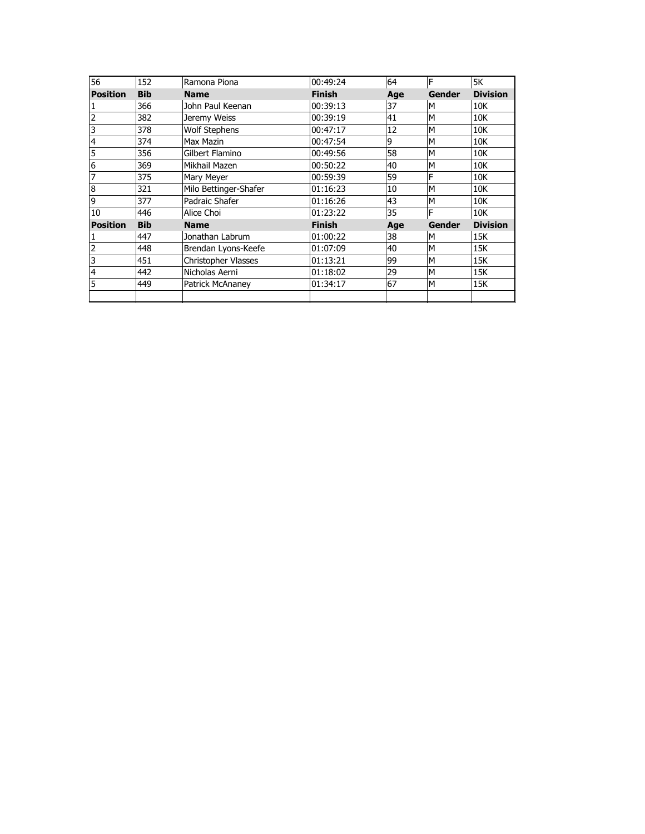| 56              | 152        | Ramona Piona               | 00:49:24      | 64  | ΙF            | 5K              |
|-----------------|------------|----------------------------|---------------|-----|---------------|-----------------|
| <b>Position</b> | <b>Bib</b> | <b>Name</b>                | <b>Finish</b> | Age | <b>Gender</b> | <b>Division</b> |
| 1               | 366        | John Paul Keenan           | 00:39:13      | 37  | M             | 10K             |
| $\overline{c}$  | 382        | Jeremy Weiss               | 00:39:19      | 41  | M             | 10K             |
| 3               | 378        | <b>Wolf Stephens</b>       | 00:47:17      | 12  | M             | 10K             |
| $\overline{4}$  | 374        | Max Mazin                  | 00:47:54      | 9   | M             | 10K             |
| 5               | 356        | Gilbert Flamino            | 00:49:56      | 58  | M             | 10K             |
| 6               | 369        | Mikhail Mazen              | 00:50:22      | 40  | M             | 10K             |
| 7               | 375        | Mary Meyer                 | 00:59:39      | 59  | F             | 10K             |
| 8               | 321        | Milo Bettinger-Shafer      | 01:16:23      | 10  | M             | 10K             |
| 9               | 377        | Padraic Shafer             | 01:16:26      | 43  | M             | 10K             |
| 10              | 446        | Alice Choi                 | 01:23:22      | 35  | F             | 10K             |
| <b>Position</b> | <b>Bib</b> | <b>Name</b>                | <b>Finish</b> | Age | <b>Gender</b> | <b>Division</b> |
|                 | 447        | Jonathan Labrum            | 01:00:22      | 38  | M             | 15K             |
| 2               | 448        | Brendan Lyons-Keefe        | 01:07:09      | 40  | M             | 15K             |
| 3               | 451        | <b>Christopher Vlasses</b> | 01:13:21      | 99  | M             | 15K             |
| $\overline{4}$  | 442        | Nicholas Aerni             | 01:18:02      | 29  | M             | 15K             |
| 5               | 449        | Patrick McAnaney           | 01:34:17      | 67  | M             | 15K             |
|                 |            |                            |               |     |               |                 |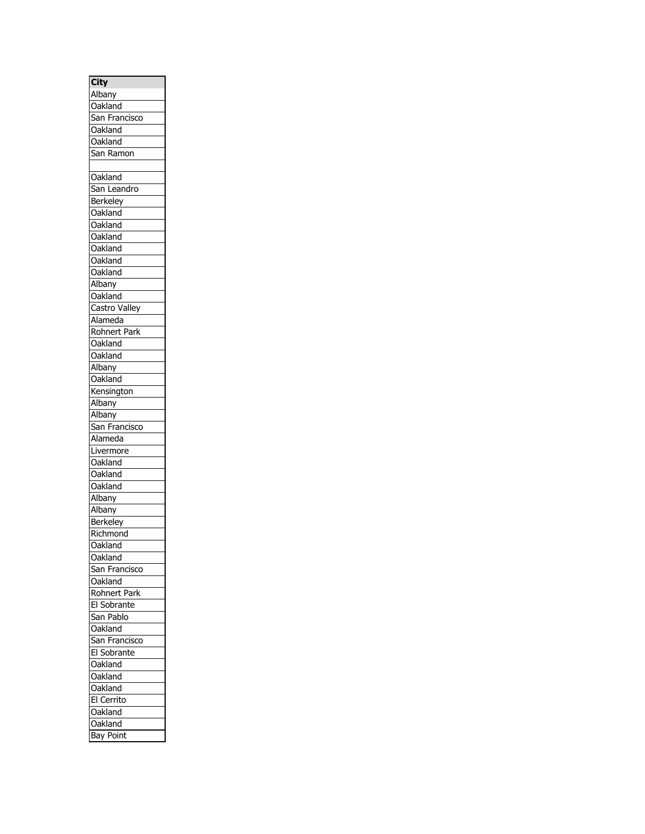| <b>City</b>         |
|---------------------|
| Albany              |
| Oakland             |
| San Francisco       |
|                     |
| Oakland             |
| Oakland             |
| San Ramon           |
|                     |
| Oakland             |
| San Leandro         |
| Berkeley            |
| Oakland             |
| Oakland             |
| Oakland             |
| Oakland             |
| Oakland             |
| Oakland             |
| Albany              |
| Oakland             |
| Castro Valley       |
|                     |
| Alameda             |
| <b>Rohnert Park</b> |
| Oakland             |
| Oakland             |
| Albany              |
| Oakland             |
| Kensington          |
| Albany              |
| Albany              |
| San Franciso        |
| Alameda             |
| Livermore           |
| Oakland             |
| Oakland             |
| Oakland             |
|                     |
| Albany              |
| Albany              |
| Berkeley            |
| Richmond            |
| Oakland             |
| Oakland             |
| San Francisco       |
| Oakland             |
| Rohnert Park        |
| El Sobrante         |
| San Pablo           |
| Oakland             |
| San Francisco       |
| El Sobrante         |
| Oakland             |
|                     |
| Oakland             |
| Oakland             |
| El Cerrito          |
| Oakland             |
| Oakland             |
| <b>Bay Point</b>    |